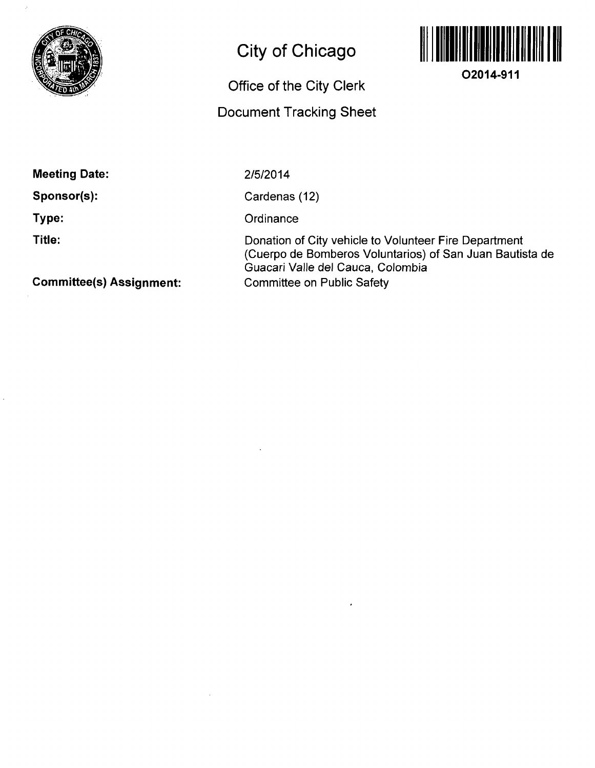

# **City of Chicago**

## **Office of the City Clerk**

### **Document Tracking Sheet**



**02014-911** 

**Meeting Date:** 

**Sponsor(s):** 

**Type:** 

**Title:** 

2/5/2014

Cardenas (12)

**Ordinance** 

Donation of City vehicle to Volunteer Fire Department (Cuerpo de Bomberos Voluntaries) of San Juan Bautista de Guacari Valle del Cauca, Colombia Committee on Public Safety

**Committee(s) Assignment:**